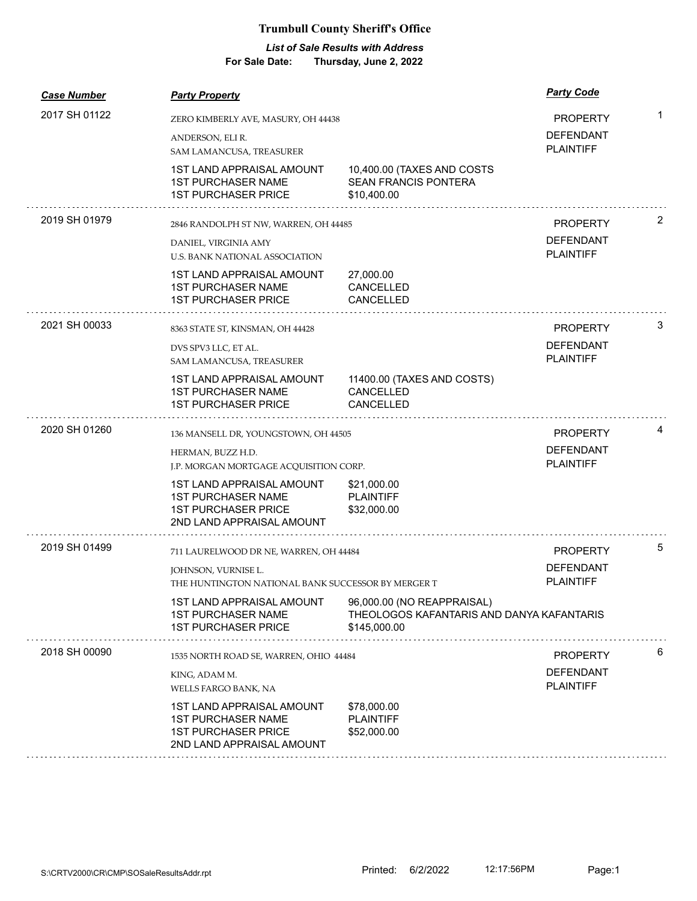## **Trumbull County Sheriff's Office**

## *List of Sale Results with Address*

**For Sale Date: Thursday, June 2, 2022**

| <b>Case Number</b> | <b>Party Property</b>                                                                                                    |                                                                                         | <b>Party Code</b>                    |   |
|--------------------|--------------------------------------------------------------------------------------------------------------------------|-----------------------------------------------------------------------------------------|--------------------------------------|---|
| 2017 SH 01122      | ZERO KIMBERLY AVE, MASURY, OH 44438                                                                                      |                                                                                         | <b>PROPERTY</b>                      | 1 |
|                    | ANDERSON, ELI R.<br>SAM LAMANCUSA, TREASURER                                                                             |                                                                                         | <b>DEFENDANT</b><br><b>PLAINTIFF</b> |   |
|                    | <b>1ST LAND APPRAISAL AMOUNT</b><br><b>1ST PURCHASER NAME</b><br><b>1ST PURCHASER PRICE</b>                              | 10,400.00 (TAXES AND COSTS<br><b>SEAN FRANCIS PONTERA</b><br>\$10,400.00                |                                      |   |
| 2019 SH 01979      | 2846 RANDOLPH ST NW, WARREN, OH 44485                                                                                    |                                                                                         | <b>PROPERTY</b>                      | 2 |
|                    | DANIEL, VIRGINIA AMY<br>U.S. BANK NATIONAL ASSOCIATION                                                                   |                                                                                         | <b>DEFENDANT</b><br><b>PLAINTIFF</b> |   |
|                    | <b>1ST LAND APPRAISAL AMOUNT</b><br><b>1ST PURCHASER NAME</b><br><b>1ST PURCHASER PRICE</b>                              | 27,000.00<br><b>CANCELLED</b><br>CANCELLED                                              |                                      |   |
| 2021 SH 00033      | 8363 STATE ST, KINSMAN, OH 44428                                                                                         |                                                                                         | <b>PROPERTY</b>                      | 3 |
|                    | DVS SPV3 LLC, ET AL.<br>SAM LAMANCUSA, TREASURER                                                                         |                                                                                         | <b>DEFENDANT</b><br><b>PLAINTIFF</b> |   |
|                    | 1ST LAND APPRAISAL AMOUNT<br><b>1ST PURCHASER NAME</b><br><b>1ST PURCHASER PRICE</b>                                     | 11400.00 (TAXES AND COSTS)<br>CANCELLED<br>CANCELLED                                    |                                      |   |
| 2020 SH 01260      | 136 MANSELL DR, YOUNGSTOWN, OH 44505                                                                                     |                                                                                         | <b>PROPERTY</b>                      | 4 |
|                    | HERMAN, BUZZ H.D.                                                                                                        |                                                                                         | <b>DEFENDANT</b>                     |   |
|                    | J.P. MORGAN MORTGAGE ACQUISITION CORP.                                                                                   |                                                                                         | <b>PLAINTIFF</b>                     |   |
|                    | <b>1ST LAND APPRAISAL AMOUNT</b><br><b>1ST PURCHASER NAME</b><br><b>1ST PURCHASER PRICE</b><br>2ND LAND APPRAISAL AMOUNT | \$21,000.00<br><b>PLAINTIFF</b><br>\$32,000.00                                          |                                      |   |
| 2019 SH 01499      | 711 LAURELWOOD DR NE, WARREN, OH 44484                                                                                   |                                                                                         | <b>PROPERTY</b>                      | 5 |
|                    | JOHNSON, VURNISE L.                                                                                                      |                                                                                         | <b>DEFENDANT</b>                     |   |
|                    | THE HUNTINGTON NATIONAL BANK SUCCESSOR BY MERGER T                                                                       |                                                                                         | <b>PLAINTIFF</b>                     |   |
|                    | <b>1ST LAND APPRAISAL AMOUNT</b><br><b>1ST PURCHASER NAME</b><br><b>1ST PURCHASER PRICE</b>                              | 96,000.00 (NO REAPPRAISAL)<br>THEOLOGOS KAFANTARIS AND DANYA KAFANTARIS<br>\$145,000.00 |                                      |   |
| 2018 SH 00090      | 1535 NORTH ROAD SE, WARREN, OHIO 44484                                                                                   |                                                                                         | <b>PROPERTY</b>                      | 6 |
|                    | KING, ADAM M.<br>WELLS FARGO BANK, NA                                                                                    |                                                                                         | <b>DEFENDANT</b><br><b>PLAINTIFF</b> |   |
|                    | <b>1ST LAND APPRAISAL AMOUNT</b><br><b>1ST PURCHASER NAME</b>                                                            | \$78,000.00<br><b>PLAINTIFF</b>                                                         |                                      |   |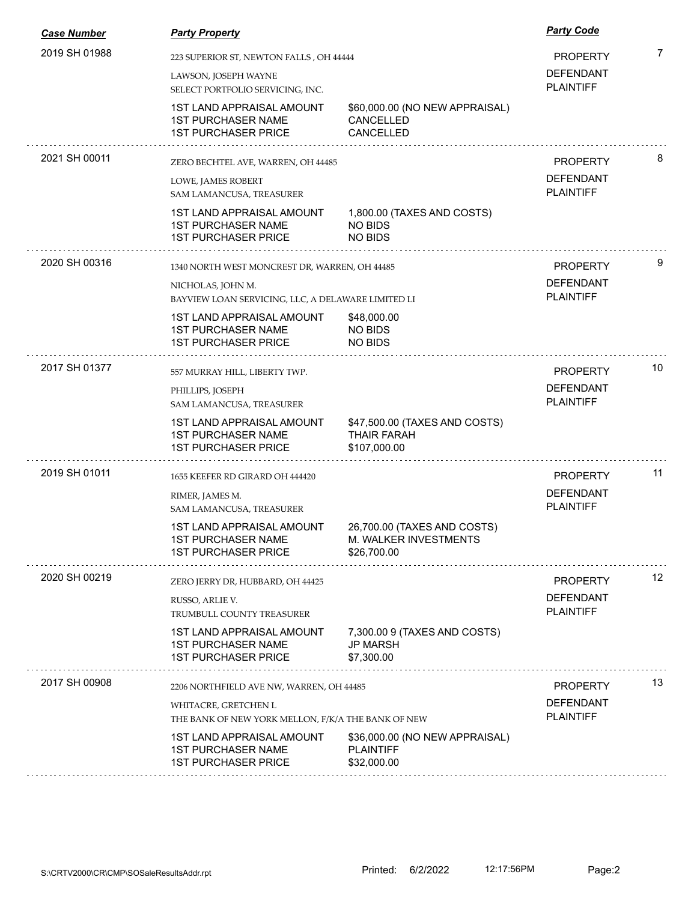| <b>Case Number</b> | <b>Party Property</b>                                                                       |                                                                     | <b>Party Code</b>                    |    |
|--------------------|---------------------------------------------------------------------------------------------|---------------------------------------------------------------------|--------------------------------------|----|
| 2019 SH 01988      |                                                                                             | 223 SUPERIOR ST, NEWTON FALLS, OH 44444                             |                                      | 7  |
|                    | LAWSON, JOSEPH WAYNE<br>SELECT PORTFOLIO SERVICING, INC.                                    |                                                                     | <b>DEFENDANT</b><br><b>PLAINTIFF</b> |    |
|                    | <b>1ST LAND APPRAISAL AMOUNT</b><br><b>1ST PURCHASER NAME</b><br><b>1ST PURCHASER PRICE</b> | \$60,000.00 (NO NEW APPRAISAL)<br><b>CANCELLED</b><br>CANCELLED     |                                      |    |
| 2021 SH 00011      | ZERO BECHTEL AVE, WARREN, OH 44485                                                          |                                                                     | <b>PROPERTY</b>                      | 8  |
|                    | LOWE, JAMES ROBERT<br>SAM LAMANCUSA, TREASURER                                              |                                                                     | <b>DEFENDANT</b><br><b>PLAINTIFF</b> |    |
|                    | <b>1ST LAND APPRAISAL AMOUNT</b><br><b>1ST PURCHASER NAME</b><br><b>1ST PURCHASER PRICE</b> | 1,800.00 (TAXES AND COSTS)<br><b>NO BIDS</b><br><b>NO BIDS</b>      |                                      |    |
| 2020 SH 00316      | 1340 NORTH WEST MONCREST DR, WARREN, OH 44485                                               |                                                                     | <b>PROPERTY</b>                      | 9  |
|                    | NICHOLAS, JOHN M.                                                                           | BAYVIEW LOAN SERVICING, LLC, A DELAWARE LIMITED LI                  |                                      |    |
|                    | 1ST LAND APPRAISAL AMOUNT<br><b>1ST PURCHASER NAME</b><br><b>1ST PURCHASER PRICE</b>        | \$48,000.00<br>NO BIDS<br>NO BIDS                                   |                                      |    |
| 2017 SH 01377      | 557 MURRAY HILL, LIBERTY TWP.                                                               |                                                                     | <b>PROPERTY</b>                      | 10 |
|                    | PHILLIPS, JOSEPH<br>SAM LAMANCUSA, TREASURER                                                |                                                                     | <b>DEFENDANT</b><br><b>PLAINTIFF</b> |    |
|                    | <b>1ST LAND APPRAISAL AMOUNT</b><br><b>1ST PURCHASER NAME</b><br><b>1ST PURCHASER PRICE</b> | \$47,500.00 (TAXES AND COSTS)<br><b>THAIR FARAH</b><br>\$107,000.00 |                                      |    |
| 2019 SH 01011      | 1655 KEEFER RD GIRARD OH 444420                                                             |                                                                     | <b>PROPERTY</b>                      | 11 |
|                    | RIMER, JAMES M.<br>SAM LAMANCUSA, TREASURER                                                 |                                                                     | <b>DEFENDANT</b><br><b>PLAINTIFF</b> |    |
|                    | <b>1ST LAND APPRAISAL AMOUNT</b><br><b>1ST PURCHASER NAME</b><br><b>1ST PURCHASER PRICE</b> | 26,700.00 (TAXES AND COSTS)<br>M. WALKER INVESTMENTS<br>\$26,700.00 |                                      |    |
| 2020 SH 00219      | ZERO JERRY DR, HUBBARD, OH 44425                                                            |                                                                     | <b>PROPERTY</b>                      | 12 |
|                    | RUSSO, ARLIE V.<br>TRUMBULL COUNTY TREASURER                                                |                                                                     | <b>DEFENDANT</b><br><b>PLAINTIFF</b> |    |
|                    | <b>1ST LAND APPRAISAL AMOUNT</b><br><b>1ST PURCHASER NAME</b><br><b>1ST PURCHASER PRICE</b> | 7,300.00 9 (TAXES AND COSTS)<br><b>JP MARSH</b><br>\$7,300.00       |                                      |    |
| 2017 SH 00908      | 2206 NORTHFIELD AVE NW, WARREN, OH 44485                                                    |                                                                     | <b>PROPERTY</b>                      | 13 |
|                    | WHITACRE, GRETCHEN L<br>THE BANK OF NEW YORK MELLON, F/K/A THE BANK OF NEW                  |                                                                     | <b>DEFENDANT</b><br><b>PLAINTIFF</b> |    |
|                    | 1ST LAND APPRAISAL AMOUNT<br><b>1ST PURCHASER NAME</b><br><b>1ST PURCHASER PRICE</b>        | \$36,000.00 (NO NEW APPRAISAL)<br><b>PLAINTIFF</b><br>\$32,000.00   |                                      |    |
|                    |                                                                                             |                                                                     |                                      |    |